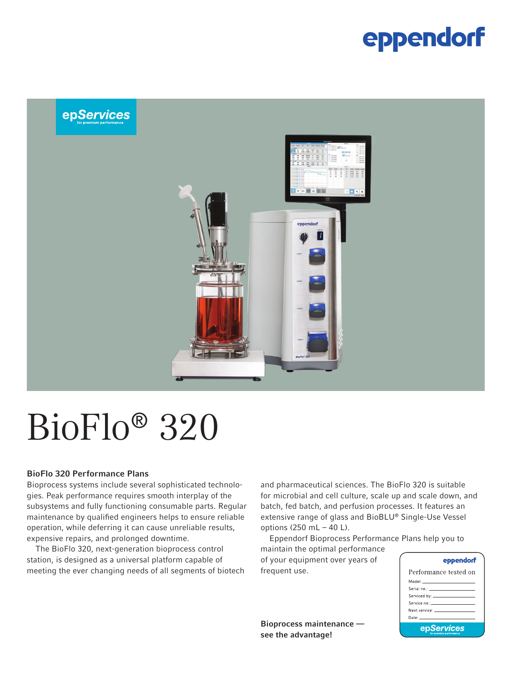### eppendorf



# BioFlo® 320

#### BioFlo 320 Performance Plans

Bioprocess systems include several sophisticated technologies. Peak performance requires smooth interplay of the subsystems and fully functioning consumable parts. Regular maintenance by qualified engineers helps to ensure reliable operation, while deferring it can cause unreliable results, expensive repairs, and prolonged downtime.

The BioFlo 320, next-generation bioprocess control station, is designed as a universal platform capable of meeting the ever changing needs of all segments of biotech and pharmaceutical sciences. The BioFlo 320 is suitable for microbial and cell culture, scale up and scale down, and batch, fed batch, and perfusion processes. It features an extensive range of glass and BioBLU® Single-Use Vessel options (250 mL – 40 L).

Eppendorf Bioprocess Performance Plans help you to

maintain the optimal performance of your equipment over years of frequent use.

Bioprocess maintenance see the advantage!

#### eppendorf

| Performance tested on                                                                                                                                                                                                          |  |  |  |  |
|--------------------------------------------------------------------------------------------------------------------------------------------------------------------------------------------------------------------------------|--|--|--|--|
| Model: ______________________                                                                                                                                                                                                  |  |  |  |  |
|                                                                                                                                                                                                                                |  |  |  |  |
|                                                                                                                                                                                                                                |  |  |  |  |
| Service no.:______________________                                                                                                                                                                                             |  |  |  |  |
| Next service: The contract of the contract of the contract of the contract of the contract of the contract of the contract of the contract of the contract of the contract of the contract of the contract of the contract of  |  |  |  |  |
| Date: In the contract of the contract of the contract of the contract of the contract of the contract of the contract of the contract of the contract of the contract of the contract of the contract of the contract of the c |  |  |  |  |
| epServices                                                                                                                                                                                                                     |  |  |  |  |